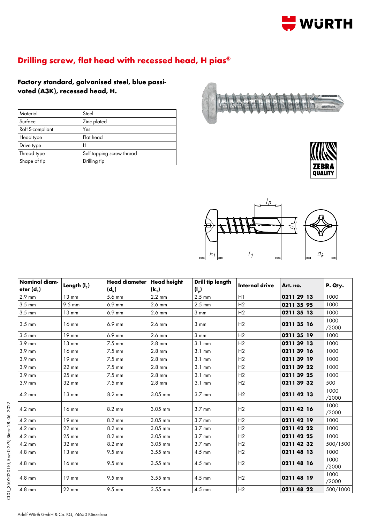

## **Drilling screw, flat head with recessed head, H pias®**

**Factory standard, galvanised steel, blue passivated (A3K), recessed head, H.**

| Material       | Steel                     |
|----------------|---------------------------|
| Surface        | Zinc plated               |
| RoHS-compliant | Yes                       |
| Head type      | Flat head                 |
| Drive type     | н                         |
| Thread type    | Self-tapping screw thread |
| Shape of tip   | Drilling tip              |







| <b>Nominal diam-</b><br>eter $(d_1)$ | Length $(I_1)$  | <b>Head diameter</b><br>$(d_k)$ | <b>Head height</b><br>$(k_1)$ | Drill tip length<br>$(I_p)$ | <b>Internal drive</b> | Art. no.   | P. Qty.       |
|--------------------------------------|-----------------|---------------------------------|-------------------------------|-----------------------------|-----------------------|------------|---------------|
| 2.9 mm                               | $13 \text{ mm}$ | 5.6 mm                          | $2.2 \text{ mm}$              | $2.5 \text{ mm}$            | H1                    | 0211 29 13 | 1000          |
| $3.5 \text{ mm}$                     | 9.5 mm          | 6.9 mm                          | 2.6 mm                        | $2.5$ mm                    | H <sub>2</sub>        | 0211 35 95 | 1000          |
| $3.5 \text{ mm}$                     | $13 \text{ mm}$ | 6.9 mm                          | 2.6 mm                        | $3 \, \text{mm}$            | H2                    | 0211 35 13 | 1000          |
| $3.5 \text{ mm}$                     | $16 \text{ mm}$ | 6.9 mm                          | 2.6 mm                        | $3 \, \text{mm}$            | H <sub>2</sub>        | 021135 16  | 1000<br>/2000 |
| $3.5 \text{ mm}$                     | 19 mm           | 6.9 mm                          | 2.6 mm                        | $3 \text{ mm}$              | H <sub>2</sub>        | 0211 35 19 | 1000          |
| 3.9 mm                               | $13 \text{ mm}$ | 7.5 mm                          | $2.8$ mm                      | $3.1 \text{ mm}$            | H <sub>2</sub>        | 021139 13  | 1000          |
| 3.9 mm                               | $16$ mm         | $7.5$ mm                        | $2.8$ mm                      | $3.1 \text{ mm}$            | H <sub>2</sub>        | 02113916   | 1000          |
| 3.9 mm                               | 19 mm           | 7.5 mm                          | $2.8$ mm                      | $3.1 \text{ mm}$            | H2                    | 0211 39 19 | 1000          |
| 3.9 mm                               | $22 \text{ mm}$ | $7.5 \text{ mm}$                | $2.8$ mm                      | $3.1 \text{ mm}$            | H <sub>2</sub>        | 0211 39 22 | 1000          |
| 3.9 mm                               | $25 \text{ mm}$ | $7.5 \text{ mm}$                | $2.8$ mm                      | $3.1 \text{ mm}$            | H <sub>2</sub>        | 0211 39 25 | 1000          |
| 3.9 mm                               | 32 mm           | $7.5 \text{ mm}$                | $2.8$ mm                      | $3.1 \text{ mm}$            | H <sub>2</sub>        | 02113932   | 500           |
| $4.2 \text{ mm}$                     | $13 \text{ mm}$ | 8.2 mm                          | $3.05$ mm                     | $3.7 \text{ mm}$            | H <sub>2</sub>        | 0211 42 13 | 1000<br>/2000 |
| $4.2 \text{ mm}$                     | $16$ mm         | 8.2 mm                          | $3.05$ mm                     | $3.7 \text{ mm}$            | H <sub>2</sub>        | 02114216   | 1000<br>/2000 |
| $4.2 \text{ mm}$                     | 19 mm           | 8.2 mm                          | 3.05 mm                       | $3.7 \text{ mm}$            | H <sub>2</sub>        | 02114219   | 1000          |
| 4.2 mm                               | 22 mm           | 8.2 mm                          | $3.05$ mm                     | $3.7 \text{ mm}$            | H2                    | 02114222   | 1000          |
| $4.2 \text{ mm}$                     | $25 \text{ mm}$ | $8.2 \text{ mm}$                | 3.05 mm                       | $3.7 \text{ mm}$            | H2                    | 0211 42 25 | 1000          |
| $4.2 \text{ mm}$                     | 32 mm           | 8.2 mm                          | $3.05$ mm                     | $3.7 \text{ mm}$            | H <sub>2</sub>        | 0211 42 32 | 500/1500      |
| 4.8 mm                               | $13 \text{ mm}$ | 9.5 mm                          | 3.55 mm                       | $4.5$ mm                    | H <sub>2</sub>        | 0211 48 13 | 1000          |
| $4.8$ mm                             | $16$ mm         | 9.5 mm                          | 3.55 mm                       | $4.5$ mm                    | H2                    | 02114816   | 1000<br>/2000 |
| $4.8$ mm                             | $19$ mm         | 9.5 mm                          | 3.55 mm                       | $4.5$ mm                    | H <sub>2</sub>        | 021148 19  | 1000<br>/2000 |
| 4.8 mm                               | 22 mm           | 9.5 mm                          | 3.55 mm                       | $4.5$ mm                    | H <sub>2</sub>        | 0211 48 22 | 500/1000      |